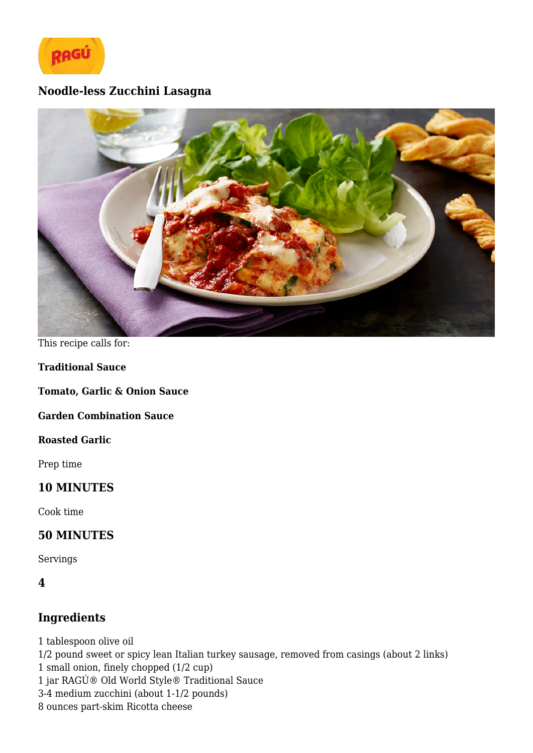

# **Noodle-less Zucchini Lasagna**



This recipe calls for:

**Traditional Sauce**

**Tomato, Garlic & Onion Sauce**

**Garden Combination Sauce**

**Roasted Garlic**

Prep time

### **10 MINUTES**

Cook time

#### **50 MINUTES**

Servings

### **4**

### **Ingredients**

1 tablespoon olive oil 1/2 pound sweet or spicy lean Italian turkey sausage, removed from casings (about 2 links) 1 small onion, finely chopped (1/2 cup) 1 jar RAGÚ® Old World Style® Traditional Sauce 3-4 medium zucchini (about 1-1/2 pounds) 8 ounces part-skim Ricotta cheese